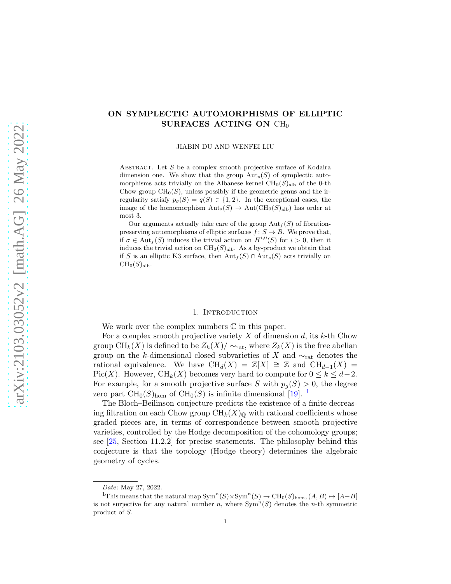# arXiv:2103.03052v2 [math.AG] 26 May 2022 [arXiv:2103.03052v2 \[math.AG\] 26 May 2022](http://arxiv.org/abs/2103.03052v2)

# ON SYMPLECTIC AUTOMORPHISMS OF ELLIPTIC SURFACES ACTING ON  $CH<sub>0</sub>$

JIABIN DU AND WENFEI LIU

ABSTRACT. Let  $S$  be a complex smooth projective surface of Kodaira dimension one. We show that the group  $Aut_s(S)$  of symplectic automorphisms acts trivially on the Albanese kernel  $\text{CH}_0(S)_{\text{alb}}$  of the 0-th Chow group  $CH_0(S)$ , unless possibly if the geometric genus and the irregularity satisfy  $p_g(S) = q(S) \in \{1,2\}$ . In the exceptional cases, the image of the homomorphism  $Aut_s(S) \to Aut(CH_0(S)_{alb})$  has order at most 3.

Our arguments actually take care of the group  $\text{Aut}_f(S)$  of fibrationpreserving automorphisms of elliptic surfaces  $f: S \to B$ . We prove that, if  $\sigma \in \text{Aut}_f(S)$  induces the trivial action on  $H^{i,0}(S)$  for  $i > 0$ , then it induces the trivial action on  $\text{CH}_0(S)_{\text{alb}}$ . As a by-product we obtain that if S is an elliptic K3 surface, then  ${\rm Aut}_f(S) \cap {\rm Aut}_s(S)$  acts trivially on  $CH_0(S)_{\text{alb}}$ .

## 1. INTRODUCTION

We work over the complex numbers  $\mathbb C$  in this paper.

For a complex smooth projective variety X of dimension d, its k-th Chow group CH<sub>k</sub>(X) is defined to be  $Z_k(X)/\sim_{\text{rat}}$ , where  $Z_k(X)$  is the free abelian group on the k-dimensional closed subvarieties of X and  $\sim_{\text{rat}}$  denotes the rational equivalence. We have  $\text{CH}_d(X) = \mathbb{Z}[X] \cong \mathbb{Z}$  and  $\text{CH}_{d-1}(X) =$ Pic(X). However, CH<sub>k</sub>(X) becomes very hard to compute for  $0 \le k \le d-2$ . For example, for a smooth projective surface S with  $p_q(S) > 0$ , the degree zero part  $CH_0(S)_{\text{hom}}$  of  $CH_0(S)$  is infinite dimensional [\[19\]](#page-18-0). <sup>[1](#page-0-0)</sup>

The Bloch–Beilinson conjecture predicts the existence of a finite decreasing filtration on each Chow group  $\text{CH}_k(X)_{\mathbb{Q}}$  with rational coefficients whose graded pieces are, in terms of correspondence between smooth projective varieties, controlled by the Hodge decomposition of the cohomology groups; see [\[25,](#page-18-1) Section 11.2.2] for precise statements. The philosophy behind this conjecture is that the topology (Hodge theory) determines the algebraic geometry of cycles.

Date: May 27, 2022.

<span id="page-0-0"></span><sup>&</sup>lt;sup>1</sup>This means that the natural map  $Sym^n(S) \times Sym^n(S) \to CH_0(S)_{hom}$ ,  $(A, B) \mapsto [A-B]$ is not surjective for any natural number n, where  $Sym<sup>n</sup>(S)$  denotes the n-th symmetric product of S.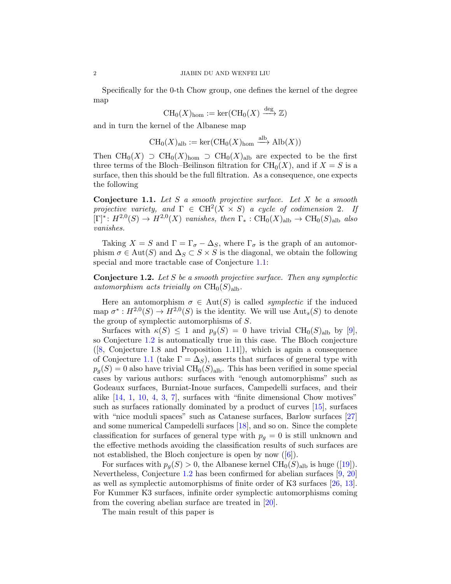Specifically for the 0-th Chow group, one defines the kernel of the degree map

$$
\operatorname{CH}_0(X)_{\hom} := \ker(\operatorname{CH}_0(X) \xrightarrow{\deg} \mathbb{Z})
$$

and in turn the kernel of the Albanese map

$$
\operatorname{CH}_0(X)_{\mathrm{alb}} := \ker(\operatorname{CH}_0(X)_{\mathrm{hom}} \xrightarrow{\mathrm{alb}} \operatorname{Alb}(X))
$$

Then  $\text{CH}_0(X) \supset \text{CH}_0(X)_{\text{hom}} \supset \text{CH}_0(X)_{\text{alb}}$  are expected to be the first three terms of the Bloch–Beilinson filtration for  $CH_0(X)$ , and if  $X = S$  is a surface, then this should be the full filtration. As a consequence, one expects the following

<span id="page-1-0"></span>Conjecture 1.1. *Let* S *a smooth projective surface. Let* X *be a smooth projective variety, and*  $\Gamma \in \text{CH}^2(X \times S)$  *a cycle of codimension* 2*. If*  $[\Gamma]^* \colon H^{2,0}(S) \to H^{2,0}(X)$  vanishes, then  $\Gamma_* \colon \text{CH}_0(X)_{\text{alb}} \to \text{CH}_0(S)_{\text{alb}}$  also *vanishes.*

Taking  $X = S$  and  $\Gamma = \Gamma_{\sigma} - \Delta_S$ , where  $\Gamma_{\sigma}$  is the graph of an automorphism  $\sigma \in Aut(S)$  and  $\Delta_S \subset S \times S$  is the diagonal, we obtain the following special and more tractable case of Conjecture [1.1:](#page-1-0)

<span id="page-1-1"></span>Conjecture 1.2. *Let* S *be a smooth projective surface. Then any symplectic automorphism acts trivially on*  $CH_0(S)_{\text{alb}}$ .

Here an automorphism  $\sigma \in Aut(S)$  is called *symplectic* if the induced map  $\sigma^*: H^{2,0}(S) \to H^{2,0}(S)$  is the identity. We will use  $\text{Aut}_s(S)$  to denote the group of symplectic automorphisms of S.

Surfaces with  $\kappa(S) \leq 1$  and  $p_g(S) = 0$  have trivial CH<sub>0</sub>(S)<sub>alb</sub> by [\[9\]](#page-17-0), so Conjecture [1.2](#page-1-1) is automatically true in this case. The Bloch conjecture ([\[8,](#page-17-1) Conjecture 1.8 and Proposition 1.11]), which is again a consequence of Conjecture [1.1](#page-1-0) (take  $\Gamma = \Delta_S$ ), asserts that surfaces of general type with  $p_q(S) = 0$  also have trivial CH<sub>0</sub>(S)<sub>alb</sub>. This has been verified in some special cases by various authors: surfaces with "enough automorphisms" such as Godeaux surfaces, Burniat-Inoue surfaces, Campedelli surfaces, and their alike [\[14,](#page-17-2) [1,](#page-17-3) [10,](#page-17-4) [4,](#page-17-5) [3,](#page-17-6) [7\]](#page-17-7), surfaces with "finite dimensional Chow motives" such as surfaces rationally dominated by a product of curves [\[15\]](#page-17-8), surfaces with "nice moduli spaces" such as Catanese surfaces, Barlow surfaces [\[27\]](#page-18-2) and some numerical Campedelli surfaces [\[18\]](#page-18-3), and so on. Since the complete classification for surfaces of general type with  $p<sub>g</sub> = 0$  is still unknown and the effective methods avoiding the classification results of such surfaces are notestablished, the Bloch conjecture is open by now ([\[6\]](#page-17-9)).

Forsurfaces with  $p_q(S) > 0$ , the Albanese kernel  $\text{CH}_0(S)_{\text{alb}}$  is huge ([\[19\]](#page-18-0)). Nevertheless, Conjecture [1.2](#page-1-1) has been confirmed for abelian surfaces [\[9,](#page-17-0) [20\]](#page-18-4) as well as symplectic automorphisms of finite order of K3 surfaces [\[26,](#page-18-5) [13\]](#page-17-10). For Kummer K3 surfaces, infinite order symplectic automorphisms coming from the covering abelian surface are treated in [\[20\]](#page-18-4).

The main result of this paper is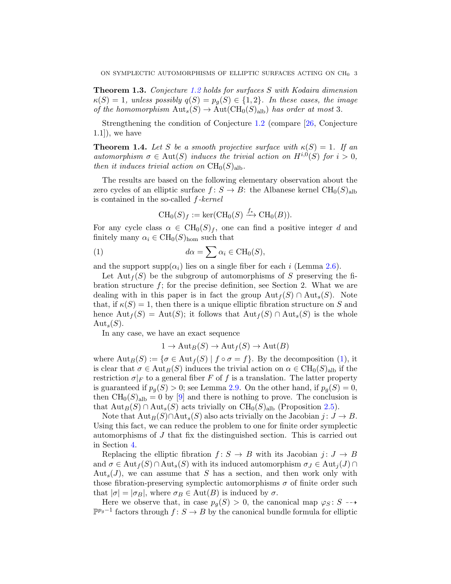Theorem 1.3. *Conjecture [1.2](#page-1-1) holds for surfaces* S *with Kodaira dimension*  $\kappa(S) = 1$ , unless possibly  $q(S) = p_g(S) \in \{1, 2\}$ . In these cases, the image *of the homomorphism*  $Aut_s(S) \to Aut(CH_0(S)_{alb})$  *has order at most* 3*.* 

Strengthening the condition of Conjecture [1.2](#page-1-1) (compare [\[26,](#page-18-5) Conjecture  $(1.1)$ , we have

<span id="page-2-1"></span>**Theorem 1.4.** Let S be a smooth projective surface with  $\kappa(S) = 1$ . If an *automorphism*  $\sigma \in Aut(S)$  *induces the trivial action on*  $H^{i,0}(S)$  *for*  $i > 0$ *, then it induces trivial action on*  $CH_0(S)_{\text{alb}}$ .

The results are based on the following elementary observation about the zero cycles of an elliptic surface  $f: S \to B$ : the Albanese kernel  $\text{CH}_0(S)_{\text{alb}}$ is contained in the so-called f*-kernel*

<span id="page-2-0"></span>
$$
\operatorname{CH}_0(S)_f := \ker(\operatorname{CH}_0(S) \xrightarrow{f_*} \operatorname{CH}_0(B)).
$$

For any cycle class  $\alpha \in \text{CH}_0(S)_f$ , one can find a positive integer d and finitely many  $\alpha_i \in \mathrm{CH}_0(S)_{\text{hom}}$  such that

(1) 
$$
d\alpha = \sum \alpha_i \in \text{CH}_0(S),
$$

and the support supp $(\alpha_i)$  lies on a single fiber for each i (Lemma [2.6\)](#page-6-0).

Let  ${\rm Aut}_f(S)$  be the subgroup of automorphisms of S preserving the fibration structure  $f$ ; for the precise definition, see Section 2. What we are dealing with in this paper is in fact the group  ${\rm Aut}_f(S) \cap {\rm Aut}_s(S)$ . Note that, if  $\kappa(S) = 1$ , then there is a unique elliptic fibration structure on S and hence  $\text{Aut}_f(S) = \text{Aut}(S)$ ; it follows that  $\text{Aut}_f(S) \cap \text{Aut}_s(S)$  is the whole  $\mathrm{Aut}_s(S)$ .

In any case, we have an exact sequence

$$
1 \to \mathrm{Aut}_B(S) \to \mathrm{Aut}_f(S) \to \mathrm{Aut}(B)
$$

where  $\text{Aut}_B(S) := \{ \sigma \in \text{Aut}_f(S) \mid f \circ \sigma = f \}.$  By the decomposition [\(1\)](#page-2-0), it is clear that  $\sigma \in \text{Aut}_B(S)$  induces the trivial action on  $\alpha \in \text{CH}_0(S)_{\text{alb}}$  if the restriction  $\sigma|_F$  to a general fiber F of f is a translation. The latter property is guaranteed if  $p_q(S) > 0$ ; see Lemma [2.9.](#page-9-0) On the other hand, if  $p_q(S) = 0$ , then  $CH_0(S)_{\text{alb}} = 0$  by [\[9\]](#page-17-0) and there is nothing to prove. The conclusion is that  $\text{Aut}_B(S) \cap \text{Aut}_s(S)$  acts trivially on  $\text{CH}_0(S)_{\text{alb}}$  (Proposition [2.5\)](#page-6-1).

Note that  $\text{Aut}_B(S) \cap \text{Aut}_s(S)$  also acts trivially on the Jacobian  $j: J \to B$ . Using this fact, we can reduce the problem to one for finite order symplectic automorphisms of J that fix the distinguished section. This is carried out in Section [4.](#page-10-0)

Replacing the elliptic fibration  $f: S \to B$  with its Jacobian  $j: J \to B$ and  $\sigma \in \text{Aut}_f(S) \cap \text{Aut}_s(S)$  with its induced automorphism  $\sigma_J \in \text{Aut}_i(J) \cap$  $Aut<sub>s</sub>(J)$ , we can assume that S has a section, and then work only with those fibration-preserving symplectic automorphisms  $\sigma$  of finite order such that  $|\sigma| = |\sigma_B|$ , where  $\sigma_B \in \text{Aut}(B)$  is induced by  $\sigma$ .

Here we observe that, in case  $p_q(S) > 0$ , the canonical map  $\varphi_S : S \dashrightarrow$  $\mathbb{P}^{p_g-1}$  factors through  $f: S \to B$  by the canonical bundle formula for elliptic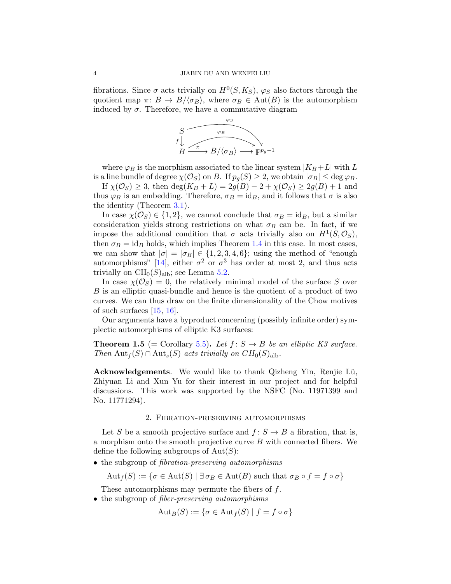fibrations. Since  $\sigma$  acts trivially on  $H^0(S, K_S)$ ,  $\varphi_S$  also factors through the quotient map  $\pi: B \to B/\langle \sigma_B \rangle$ , where  $\sigma_B \in \text{Aut}(B)$  is the automorphism induced by  $\sigma$ . Therefore, we have a commutative diagram



where  $\varphi_B$  is the morphism associated to the linear system  $|K_B + L|$  with L is a line bundle of degree  $\chi(\mathcal{O}_S)$  on B. If  $p_g(S) \geq 2$ , we obtain  $|\sigma_B| \leq \deg \varphi_B$ .

If  $\chi(\mathcal{O}_S) \geq 3$ , then  $\deg(K_B + L) = 2g(B) - 2 + \chi(\mathcal{O}_S) \geq 2g(B) + 1$  and thus  $\varphi_B$  is an embedding. Therefore,  $\sigma_B = id_B$ , and it follows that  $\sigma$  is also the identity (Theorem [3.1\)](#page-10-1).

In case  $\chi(\mathcal{O}_S) \in \{1,2\}$ , we cannot conclude that  $\sigma_B = id_B$ , but a similar consideration yields strong restrictions on what  $\sigma_B$  can be. In fact, if we impose the additional condition that  $\sigma$  acts trivially also on  $H^1(S, \mathcal{O}_S)$ , then  $\sigma_B = id_B$  holds, which implies Theorem [1.4](#page-2-1) in this case. In most cases, we can show that  $|\sigma| = |\sigma_B| \in \{1, 2, 3, 4, 6\}$ ; using the method of "enough" automorphisms" [\[14\]](#page-17-2), either  $\sigma^2$  or  $\sigma^3$  has order at most 2, and thus acts trivially on  $\text{CH}_0(S)_{\text{alb}}$ ; see Lemma [5.2.](#page-14-0)

In case  $\chi(\mathcal{O}_S) = 0$ , the relatively minimal model of the surface S over B is an elliptic quasi-bundle and hence is the quotient of a product of two curves. We can thus draw on the finite dimensionality of the Chow motives of such surfaces  $[15, 16]$  $[15, 16]$ .

Our arguments have a byproduct concerning (possibly infinite order) symplectic automorphisms of elliptic K3 surfaces:

**Theorem 1.5** (= Corollary [5.5\)](#page-15-0). Let  $f: S \rightarrow B$  be an elliptic K3 surface. *Then*  $\text{Aut}_f(S) \cap \text{Aut}_s(S)$  *acts trivially on*  $CH_0(S)_{\text{alb}}$ .

Acknowledgements. We would like to thank Qizheng Yin, Renjie Lü, Zhiyuan Li and Xun Yu for their interest in our project and for helpful discussions. This work was supported by the NSFC (No. 11971399 and No. 11771294).

### 2. Fibration-preserving automorphisms

Let S be a smooth projective surface and  $f: S \to B$  a fibration, that is, a morphism onto the smooth projective curve  $B$  with connected fibers. We define the following subgroups of  $Aut(S)$ :

• the subgroup of *fibration-preserving automorphisms*

 $\mathrm{Aut}_f(S) := \{ \sigma \in \mathrm{Aut}(S) \mid \exists \sigma_B \in \mathrm{Aut}(B) \text{ such that } \sigma_B \circ f = f \circ \sigma \}$ 

These automorphisms may permute the fibers of  $f$ .

• the subgroup of *fiber-preserving automorphisms*

$$
\mathrm{Aut}_B(S) := \{ \sigma \in \mathrm{Aut}_f(S) \mid f = f \circ \sigma \}
$$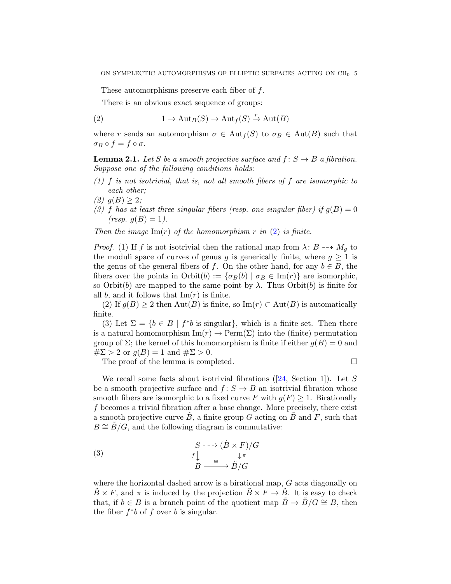These automorphisms preserve each fiber of f.

<span id="page-4-0"></span>There is an obvious exact sequence of groups:

(2) 
$$
1 \to \mathrm{Aut}_B(S) \to \mathrm{Aut}_f(S) \xrightarrow{r} \mathrm{Aut}(B)
$$

where r sends an automorphism  $\sigma \in Aut_f(S)$  to  $\sigma_B \in Aut(B)$  such that  $\sigma_B \circ f = f \circ \sigma.$ 

<span id="page-4-1"></span>**Lemma 2.1.** Let S be a smooth projective surface and  $f: S \rightarrow B$  a fibration. *Suppose one of the following conditions holds:*

- *(1)* f *is not isotrivial, that is, not all smooth fibers of* f *are isomorphic to each other;*
- $(2)$   $q(B) \geq 2$ ;
- (3) f has at least three singular fibers (resp. one singular fiber) if  $g(B) = 0$  $(resp. g(B) = 1).$

*Then the image*  $\text{Im}(r)$  *of the homomorphism* r *in* [\(2\)](#page-4-0) *is finite.* 

*Proof.* (1) If f is not isotrivial then the rational map from  $\lambda: B \dashrightarrow M_g$  to the moduli space of curves of genus g is generically finite, where  $g \geq 1$  is the genus of the general fibers of f. On the other hand, for any  $b \in B$ , the fibers over the points in Orbit(b) :=  $\{\sigma_B(b) | \sigma_B \in \text{Im}(r)\}\$ are isomorphic, so  $Orbit(b)$  are mapped to the same point by  $\lambda$ . Thus  $Orbit(b)$  is finite for all b, and it follows that  $\text{Im}(r)$  is finite.

(2) If  $g(B) \ge 2$  then  $\text{Aut}(B)$  is finite, so  $\text{Im}(r) \subset \text{Aut}(B)$  is automatically finite.

(3) Let  $\Sigma = \{b \in B \mid f^*b \text{ is singular}\},\$  which is a finite set. Then there is a natural homomorphism  $\text{Im}(r) \to \text{Perm}(\Sigma)$  into the (finite) permutation group of  $\Sigma$ ; the kernel of this homomorphism is finite if either  $g(B) = 0$  and  $\#\Sigma > 2$  or  $g(B) = 1$  and  $\#\Sigma > 0$ .

The proof of the lemma is completed.

Werecall some facts about isotrivial fibrations ( $[24, \text{ Section 1}]$  $[24, \text{ Section 1}]$ ). Let S be a smooth projective surface and  $f: S \to B$  an isotrivial fibration whose smooth fibers are isomorphic to a fixed curve F with  $g(F) \geq 1$ . Birationally f becomes a trivial fibration after a base change. More precisely, there exist a smooth projective curve  $B$ , a finite group G acting on  $B$  and  $F$ , such that  $B \cong B/G$ , and the following diagram is commutative:

<span id="page-4-2"></span>(3) 
$$
\begin{array}{ccc}\n & S & \xrightarrow{\cdot} & (\tilde{B} \times F)/G \\
 & f \downarrow & & \downarrow \pi \\
 & B & \xrightarrow{\cong} & \tilde{B}/G\n\end{array}
$$

where the horizontal dashed arrow is a birational map, G acts diagonally on  $B \times F$ , and  $\pi$  is induced by the projection  $B \times F \to B$ . It is easy to check that, if  $b \in B$  is a branch point of the quotient map  $\ddot{B} \to \ddot{B}/G \cong B$ , then the fiber  $f^*b$  of f over b is singular.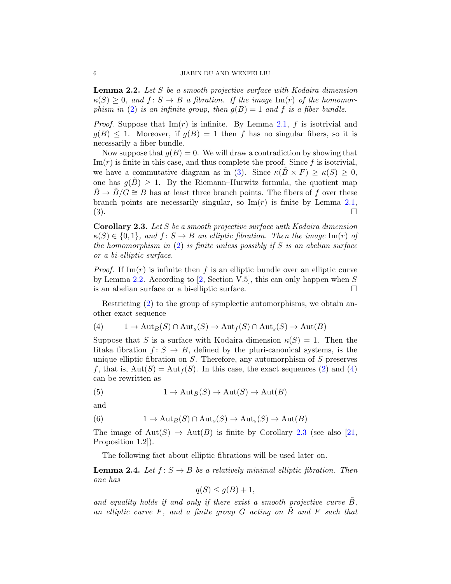<span id="page-5-0"></span>Lemma 2.2. *Let* S *be a smooth projective surface with Kodaira dimension*  $\kappa(S) \geq 0$ , and  $f: S \to B$  a fibration. If the image  $\text{Im}(r)$  of the homomor*phism in* [\(2\)](#page-4-0) *is an infinite group, then*  $g(B) = 1$  *and* f *is a fiber bundle.* 

*Proof.* Suppose that  $\text{Im}(r)$  is infinite. By Lemma [2.1,](#page-4-1) f is isotrivial and  $g(B) \leq 1$ . Moreover, if  $g(B) = 1$  then f has no singular fibers, so it is necessarily a fiber bundle.

Now suppose that  $g(B) = 0$ . We will draw a contradiction by showing that  $\text{Im}(r)$  is finite in this case, and thus complete the proof. Since f is isotrivial, we have a commutative diagram as in [\(3\)](#page-4-2). Since  $\kappa(\overline{B} \times F) \geq \kappa(S) \geq 0$ , one has  $g(B) \geq 1$ . By the Riemann–Hurwitz formula, the quotient map  $\tilde{B} \to \tilde{B}/G \cong B$  has at least three branch points. The fibers of f over these branch points are necessarily singular, so  $\text{Im}(r)$  is finite by Lemma [2.1,](#page-4-1)  $\Box$   $\Box$ 

<span id="page-5-2"></span>Corollary 2.3. *Let* S *be a smooth projective surface with Kodaira dimension*  $\kappa(S) \in \{0,1\}$ , and  $f: S \to B$  an elliptic fibration. Then the image  $\text{Im}(r)$  of *the homomorphism in* [\(2\)](#page-4-0) *is finite unless possibly if* S *is an abelian surface or a bi-elliptic surface.*

*Proof.* If  $\text{Im}(r)$  is infinite then f is an elliptic bundle over an elliptic curve by Lemma [2.2.](#page-5-0) According to  $[2, Section V.5]$ , this can only happen when S is an abelian surface or a bi-elliptic surface.  $\Box$ 

Restricting [\(2\)](#page-4-0) to the group of symplectic automorphisms, we obtain another exact sequence

<span id="page-5-1"></span>(4) 
$$
1 \to \text{Aut}_B(S) \cap \text{Aut}_s(S) \to \text{Aut}_f(S) \cap \text{Aut}_s(S) \to \text{Aut}(B)
$$

Suppose that S is a surface with Kodaira dimension  $\kappa(S) = 1$ . Then the Iitaka fibration  $f: S \to B$ , defined by the pluri-canonical systems, is the unique elliptic fibration on  $S$ . Therefore, any automorphism of  $S$  preserves f, that is,  $Aut(S) = Aut<sub>f</sub>(S)$ . In this case, the exact sequences [\(2\)](#page-4-0) and [\(4\)](#page-5-1) can be rewritten as

(5) 
$$
1 \to \mathrm{Aut}_B(S) \to \mathrm{Aut}(S) \to \mathrm{Aut}(B)
$$

and

(6) 
$$
1 \to \mathrm{Aut}_B(S) \cap \mathrm{Aut}_s(S) \to \mathrm{Aut}_s(S) \to \mathrm{Aut}(B)
$$

The image of  $Aut(S) \to Aut(B)$  is finite by Corollary [2.3](#page-5-2) (see also [\[21,](#page-18-8) Proposition 1.2]).

The following fact about elliptic fibrations will be used later on.

<span id="page-5-3"></span>**Lemma 2.4.** *Let*  $f: S \to B$  *be a relatively minimal elliptic fibration. Then one has*

$$
q(S) \leq g(B) + 1,
$$

and equality holds if and only if there exist a smooth projective curve  $\tilde{B}$ , *an elliptic curve* F*, and a finite group* G *acting on* B˜ *and* F *such that*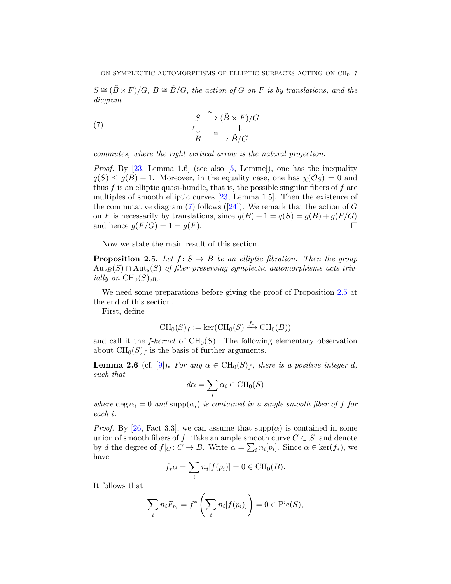$S \cong (\tilde{B} \times F)/G$ ,  $B \cong \tilde{B}/G$ , the action of G on F is by translations, and the *diagram*

<span id="page-6-2"></span>(7) 
$$
\begin{array}{ccc}\n & S \xrightarrow{\cong} (\tilde{B} \times F)/G \\
 & f \downarrow & \downarrow \\
 & B \xrightarrow{\cong} \tilde{B}/G\n\end{array}
$$

*commutes, where the right vertical arrow is the natural projection.*

*Proof.* By [\[23,](#page-18-9) Lemma 1.6] (see also [\[5,](#page-17-12) Lemme]), one has the inequality  $q(S) \leq q(B) + 1$ . Moreover, in the equality case, one has  $\chi(\mathcal{O}_S) = 0$  and thus  $f$  is an elliptic quasi-bundle, that is, the possible singular fibers of  $f$  are multiples of smooth elliptic curves [\[23,](#page-18-9) Lemma 1.5]. Then the existence of thecommutative diagram  $(7)$  follows  $([24])$  $([24])$  $([24])$ . We remark that the action of G on F is necessarily by translations, since  $g(B) + 1 = q(S) = g(B) + g(F/G)$ and hence  $g(F/G) = 1 = g(F)$ .

Now we state the main result of this section.

<span id="page-6-1"></span>**Proposition 2.5.** Let  $f: S \to B$  be an elliptic fibration. Then the group  $\text{Aut}_B(S) \cap \text{Aut}_s(S)$  of fiber-preserving symplectic automorphisms acts triv*ially on*  $CH_0(S)_{\text{alb}}$ .

We need some preparations before giving the proof of Proposition [2.5](#page-6-1) at the end of this section.

First, define

$$
\operatorname{CH}_0(S)_f := \ker(\operatorname{CH}_0(S) \xrightarrow{f_*} \operatorname{CH}_0(B))
$$

and call it the  $f$ -kernel of  $CH<sub>0</sub>(S)$ . The following elementary observation about  $\text{CH}_0(S)_f$  is the basis of further arguments.

<span id="page-6-0"></span>**Lemma 2.6** (cf. [\[9\]](#page-17-0)). *For any*  $\alpha \in CH_0(S)_f$ *, there is a positive integer d, such that*

$$
d\alpha = \sum_{i} \alpha_i \in \text{CH}_0(S)
$$

*where*  $\deg \alpha_i = 0$  *and*  $\text{supp}(\alpha_i)$  *is contained in a single smooth fiber of f for each* i*.*

*Proof.* By [\[26,](#page-18-5) Fact 3.3], we can assume that  $\text{supp}(\alpha)$  is contained in some union of smooth fibers of f. Take an ample smooth curve  $C \subset S$ , and denote by d the degree of  $f|_C: C \to B$ . Write  $\alpha = \sum_i n_i [p_i]$ . Since  $\alpha \in \text{ker}(f_*)$ , we have

$$
f_*\alpha = \sum_i n_i[f(p_i)] = 0 \in \text{CH}_0(B).
$$

It follows that

$$
\sum_{i} n_i F_{p_i} = f^* \left( \sum_{i} n_i [f(p_i)] \right) = 0 \in \text{Pic}(S),
$$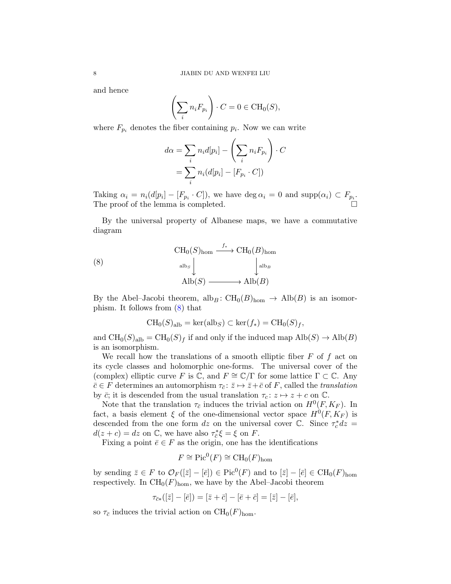and hence

$$
\left(\sum_i n_i F_{p_i}\right) \cdot C = 0 \in \text{CH}_0(S),
$$

where  $F_{p_i}$  denotes the fiber containing  $p_i$ . Now we can write

$$
d\alpha = \sum_{i} n_i d[p_i] - \left(\sum_{i} n_i F_{p_i}\right) \cdot C
$$

$$
= \sum_{i} n_i (d[p_i] - [F_{p_i} \cdot C])
$$

Taking  $\alpha_i = n_i(d[p_i] - [F_{p_i} \cdot C])$ , we have  $\deg \alpha_i = 0$  and  $\text{supp}(\alpha_i) \subset F_{p_i}$ . The proof of the lemma is completed.

By the universal property of Albanese maps, we have a commutative diagram

(8) 
$$
\text{CH}_0(S)_{\text{hom}} \xrightarrow{f_*} \text{CH}_0(B)_{\text{hom}}
$$

$$
\xrightarrow{\text{alb}_S} \downarrow^{\text{alb}_B}
$$

$$
\text{Alb}(S) \xrightarrow{\qquad \qquad} \text{Alb}(B)
$$

By the Abel–Jacobi theorem, alb<sub>B</sub>:  $CH_0(B)_{\text{hom}} \rightarrow Alb(B)$  is an isomorphism. It follows from [\(8\)](#page-7-0) that

<span id="page-7-0"></span>
$$
CH_0(S)_{\text{alb}} = \text{ker}(\text{alb}_S) \subset \text{ker}(f_*) = \text{CH}_0(S)_f,
$$

and  $\text{CH}_0(S)_{\text{alb}} = \text{CH}_0(S)_f$  if and only if the induced map  $\text{Alb}(S) \to \text{Alb}(B)$ is an isomorphism.

We recall how the translations of a smooth elliptic fiber  $F$  of  $f$  act on its cycle classes and holomorphic one-forms. The universal cover of the (complex) elliptic curve F is  $\mathbb{C}$ , and  $F \cong \mathbb{C}/\Gamma$  for some lattice  $\Gamma \subset \mathbb{C}$ . Any  $\bar{c} \in F$  determines an automorphism  $\tau_{\bar{c}}: \bar{z} \mapsto \bar{z}+\bar{c}$  of F, called the *translation* by  $\bar{c}$ ; it is descended from the usual translation  $\tau_c: z \mapsto z + c$  on  $\mathbb{C}$ .

Note that the translation  $\tau_{\bar{c}}$  induces the trivial action on  $H^0(F, K_F)$ . In fact, a basis element  $\xi$  of the one-dimensional vector space  $H^0(F, K_F)$  is descended from the one form dz on the universal cover  $\overline{C}$ . Since  $\tau_c^* dz =$  $d(z + c) = dz$  on  $\mathbb{C}$ , we have also  $\tau_{\overline{c}}^*$  $\frac{\partial}{\partial \xi} \xi = \xi$  on F.

Fixing a point  $\bar{e} \in F$  as the origin, one has the identifications

$$
F \cong \mathrm{Pic}^0(F) \cong \mathrm{CH}_0(F)_{\mathrm{hom}}
$$

by sending  $\bar{z} \in F$  to  $\mathcal{O}_F([\bar{z}] - [\bar{e}]) \in \text{Pic}^0(F)$  and to  $[\bar{z}] - [\bar{e}] \in \text{CH}_0(F)_{\text{hom}}$ respectively. In  $CH_0(F)_{\text{hom}}$ , we have by the Abel–Jacobi theorem

$$
\tau_{\bar{c}*}([\bar{z}] - [\bar{e}]) = [\bar{z} + \bar{c}] - [\bar{e} + \bar{c}] = [\bar{z}] - [\bar{e}],
$$

so  $\tau_{\bar{c}}$  induces the trivial action on  $\mathrm{CH}_0(F)_{\mathrm{hom}}$ .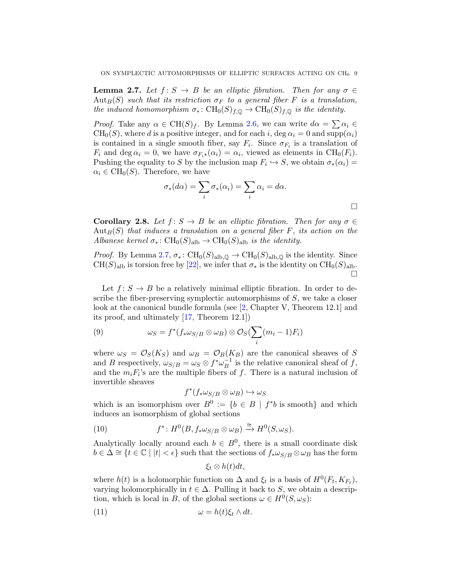<span id="page-8-0"></span>**Lemma 2.7.** Let  $f: S \to B$  be an elliptic fibration. Then for any  $\sigma \in$  $\mathrm{Aut}_B(S)$  *such that its restriction*  $\sigma_F$  *to a general fiber* F *is a translation, the induced homomorphism*  $\sigma_*: CH_0(S)_{f,\mathbb{Q}} \to CH_0(S)_{f,\mathbb{Q}}$  *is the identity.* 

*Proof.* Take any  $\alpha \in \text{CH}(S)_f$ . By Lemma [2.6,](#page-6-0) we can write  $d\alpha = \sum \alpha_i \in$  $CH_0(S)$ , where d is a positive integer, and for each i, deg  $\alpha_i = 0$  and supp $(\alpha_i)$ is contained in a single smooth fiber, say  $F_i$ . Since  $\sigma_{F_i}$  is a translation of  $F_i$  and deg  $\alpha_i = 0$ , we have  $\sigma_{F_i*}(\alpha_i) = \alpha_i$ , viewed as elements in CH<sub>0</sub>( $F_i$ ). Pushing the equality to S by the inclusion map  $F_i \hookrightarrow S$ , we obtain  $\sigma_*(\alpha_i) =$  $\alpha_i \in \mathrm{CH}_0(S)$ . Therefore, we have

$$
\sigma_*(d\alpha) = \sum_i \sigma_*(\alpha_i) = \sum_i \alpha_i = d\alpha.
$$

<span id="page-8-2"></span>**Corollary 2.8.** *Let*  $f: S \to B$  *be an elliptic fibration. Then for any*  $\sigma \in$  $Aut_B(S)$  *that induces a translation on a general fiber*  $F$ *, its action on the Albanese kernel*  $\sigma_* \colon CH_0(S)_{\text{alb}} \to CH_0(S)_{\text{alb}}$  *is the identity.* 

*Proof.* By Lemma [2.7,](#page-8-0)  $\sigma_*: \text{CH}_0(S)_{\text{alb},\mathbb{Q}} \to \text{CH}_0(S)_{\text{alb},\mathbb{Q}}$  is the identity. Since  $CH(S)_{\text{alb}}$  is torsion free by [\[22\]](#page-18-10), we infer that  $\sigma_*$  is the identity on  $CH_0(S)_{\text{alb}}$ . П

Let  $f: S \to B$  be a relatively minimal elliptic fibration. In order to describe the fiber-preserving symplectic automorphisms of  $S$ , we take a closer look at the canonical bundle formula (see [\[2,](#page-17-11) Chapter V, Theorem 12.1] and its proof, and ultimately [\[17,](#page-18-11) Theorem 12.1])

<span id="page-8-3"></span>(9) 
$$
\omega_S = f^*(f_* \omega_{S/B} \otimes \omega_B) \otimes \mathcal{O}_S(\sum_i (m_i - 1)F_i)
$$

where  $\omega_S = \mathcal{O}_S(K_S)$  and  $\omega_B = \mathcal{O}_B(K_B)$  are the canonical sheaves of S and B respectively,  $\omega_{S/B} = \omega_S \otimes f^* \omega_B^{-1}$  $B^{-1}$  is the relative canonical sheaf of f, and the  $m_i F_i$ 's are the multiple fibers of f. There is a natural inclusion of invertible sheaves

$$
f^*(f_*\omega_{S/B}\otimes \omega_B)\hookrightarrow \omega_S
$$

which is an isomorphism over  $B^0 := \{b \in B \mid f^*b \text{ is smooth}\}\$ and which induces an isomorphism of global sections

(10) 
$$
f^*: H^0(B, f_*\omega_{S/B} \otimes \omega_B) \xrightarrow{\cong} H^0(S, \omega_S).
$$

Analytically locally around each  $b \in B^0$ , there is a small coordinate disk  $b \in \Delta \cong \{t \in \mathbb{C} \mid |t| < \epsilon\}$  such that the sections of  $f_* \omega_{S/B} \otimes \omega_B$  has the form

<span id="page-8-1"></span>
$$
\xi_t \otimes h(t) dt,
$$

where  $h(t)$  is a holomorphic function on  $\Delta$  and  $\xi_t$  is a basis of  $H^0(F_t, K_{F_t})$ , varying holomorphically in  $t \in \Delta$ . Pulling it back to S, we obtain a description, which is local in B, of the global sections  $\omega \in H^0(S, \omega_S)$ :

(11) 
$$
\omega = h(t)\xi_t \wedge dt.
$$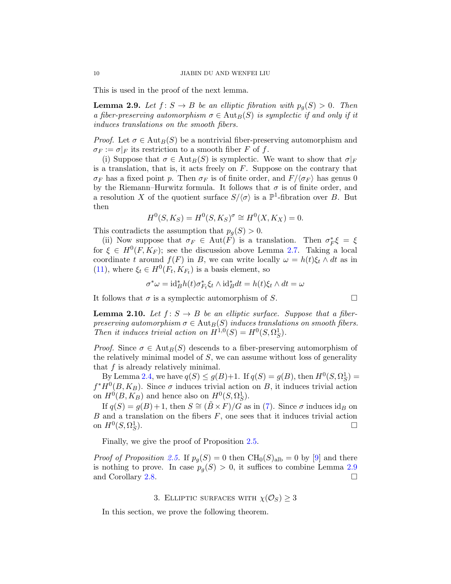This is used in the proof of the next lemma.

<span id="page-9-0"></span>**Lemma 2.9.** Let  $f: S \to B$  be an elliptic fibration with  $p_q(S) > 0$ . Then *a fiber-preserving automorphism*  $\sigma \in \text{Aut}_B(S)$  *is symplectic if and only if it induces translations on the smooth fibers.*

*Proof.* Let  $\sigma \in \text{Aut}_B(S)$  be a nontrivial fiber-preserving automorphism and  $\sigma_F := \sigma|_F$  its restriction to a smooth fiber F of f.

(i) Suppose that  $\sigma \in \text{Aut}_B(S)$  is symplectic. We want to show that  $\sigma|_F$ is a translation, that is, it acts freely on  $F$ . Suppose on the contrary that  $\sigma_F$  has a fixed point p. Then  $\sigma_F$  is of finite order, and  $F/\langle \sigma_F \rangle$  has genus 0 by the Riemann–Hurwitz formula. It follows that  $\sigma$  is of finite order, and a resolution X of the quotient surface  $S/\langle \sigma \rangle$  is a  $\mathbb{P}^1$ -fibration over B. But then

$$
H^{0}(S, K_{S}) = H^{0}(S, K_{S})^{\sigma} \cong H^{0}(X, K_{X}) = 0.
$$

This contradicts the assumption that  $p_q(S) > 0$ .

(ii) Now suppose that  $\sigma_F \in \text{Aut}(F)$  is a translation. Then  $\sigma_F^*$  $_{F}^{*}\xi = \xi$ for  $\xi \in H^0(F, K_F)$ ; see the discussion above Lemma [2.7.](#page-8-0) Taking a local coordinate t around  $f(F)$  in B, we can write locally  $\omega = h(t)\xi_t \wedge dt$  as in [\(11\)](#page-8-1), where  $\xi_t \in H^0(F_t, K_{F_t})$  is a basis element, so

$$
\sigma^* \omega = \mathrm{id}_B^* h(t) \sigma_{F_t}^* \xi_t \wedge \mathrm{id}_B^* dt = h(t) \xi_t \wedge dt = \omega
$$

It follows that  $\sigma$  is a symplectic automorphism of S.

<span id="page-9-1"></span>**Lemma 2.10.** Let  $f: S \to B$  be an elliptic surface. Suppose that a fiber*preserving automorphism*  $\sigma \in \text{Aut}_B(S)$  *induces translations on smooth fibers. Then it induces trivial action on*  $H^{1,0}(S) = H^0(S, \Omega_S^1)$ .

*Proof.* Since  $\sigma \in \text{Aut}_B(S)$  descends to a fiber-preserving automorphism of the relatively minimal model of  $S$ , we can assume without loss of generality that f is already relatively minimal.

By Lemma [2.4,](#page-5-3) we have  $q(S) \leq g(B)+1$ . If  $q(S) = g(B)$ , then  $H^0(S, \Omega_S^1) =$  $f^*H^0(B,K_B)$ . Since  $\sigma$  induces trivial action on B, it induces trivial action on  $H^0(B, K_B)$  and hence also on  $H^0(S, \Omega_S^1)$ .

If  $q(S) = q(B) + 1$ , then  $S \cong (\tilde{B} \times F)/G$  as in [\(7\)](#page-6-2). Since  $\sigma$  induces id<sub>B</sub> on  $B$  and a translation on the fibers  $F$ , one sees that it induces trivial action on  $H^0(S, \Omega_S^1)$ ).  $\Box$ 

Finally, we give the proof of Proposition [2.5.](#page-6-1)

*Proof of Proposition* [2.5.](#page-6-1) If  $p_g(S) = 0$  then  $CH_0(S)_{\text{alb}} = 0$  by [\[9\]](#page-17-0) and there is nothing to prove. In case  $p_q(S) > 0$ , it suffices to combine Lemma [2.9](#page-9-0) and Corollary [2.8.](#page-8-2)

# 3. ELLIPTIC SURFACES WITH  $\chi(\mathcal{O}_S) \geq 3$

In this section, we prove the following theorem.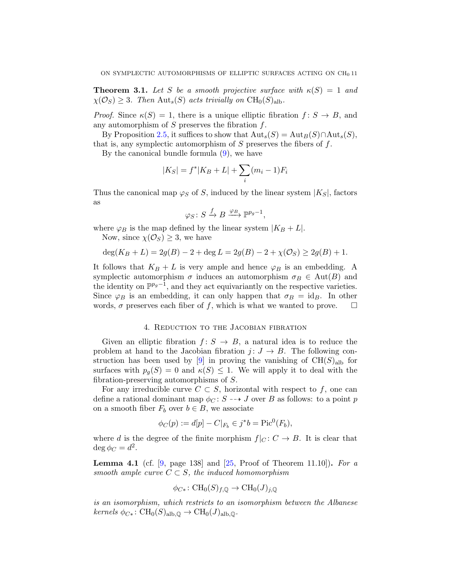<span id="page-10-1"></span>**Theorem 3.1.** Let S be a smooth projective surface with  $\kappa(S) = 1$  and  $\chi(\mathcal{O}_S) \geq 3$ . Then Aut<sub>s</sub>(S) acts trivially on CH<sub>0</sub>(S)<sub>alb</sub>.

*Proof.* Since  $\kappa(S) = 1$ , there is a unique elliptic fibration  $f: S \to B$ , and any automorphism of  $S$  preserves the fibration  $f$ .

By Proposition [2.5,](#page-6-1) it suffices to show that  ${\rm Aut}_s(S) = {\rm Aut}_B(S) \cap {\rm Aut}_s(S)$ , that is, any symplectic automorphism of  $S$  preserves the fibers of  $f$ .

By the canonical bundle formula [\(9\)](#page-8-3), we have

$$
|K_S| = f^*|K_B + L| + \sum_i (m_i - 1)F_i
$$

Thus the canonical map  $\varphi_S$  of S, induced by the linear system  $|K_S|$ , factors as

$$
\varphi_S \colon S \xrightarrow{f} B \xrightarrow{\varphi_B} \mathbb{P}^{p_g-1},
$$

where  $\varphi_B$  is the map defined by the linear system  $|K_B + L|$ .

Now, since  $\chi(\mathcal{O}_S) \geq 3$ , we have

$$
\deg(K_B + L) = 2g(B) - 2 + \deg L = 2g(B) - 2 + \chi(\mathcal{O}_S) \ge 2g(B) + 1.
$$

It follows that  $K_B + L$  is very ample and hence  $\varphi_B$  is an embedding. A symplectic automorphism  $\sigma$  induces an automorphism  $\sigma_B \in \text{Aut}(B)$  and the identity on  $\mathbb{P}^{p_g-1}$ , and they act equivariantly on the respective varieties. Since  $\varphi_B$  is an embedding, it can only happen that  $\sigma_B = id_B$ . In other words,  $\sigma$  preserves each fiber of f, which is what we wanted to prove.  $\Box$ 

### 4. Reduction to the Jacobian fibration

<span id="page-10-0"></span>Given an elliptic fibration  $f: S \to B$ , a natural idea is to reduce the problem at hand to the Jacobian fibration  $j: J \to B$ . The following construction has been used by  $[9]$  in proving the vanishing of  $CH(S)_{alb}$  for surfaces with  $p_q(S) = 0$  and  $\kappa(S) \leq 1$ . We will apply it to deal with the fibration-preserving automorphisms of S.

For any irreducible curve  $C \subset S$ , horizontal with respect to f, one can define a rational dominant map  $\phi_C : S \dashrightarrow J$  over B as follows: to a point p on a smooth fiber  $F_b$  over  $b \in B$ , we associate

$$
\phi_C(p) := d[p] - C|_{F_b} \in j^*b = \text{Pic}^0(F_b),
$$

where d is the degree of the finite morphism  $f|_C : C \to B$ . It is clear that  $\deg \phi_C = d^2$ .

<span id="page-10-2"></span>Lemma 4.1 (cf. [\[9,](#page-17-0) page 138] and [\[25,](#page-18-1) Proof of Theorem 11.10]). *For a smooth ample curve*  $C \subset S$ *, the induced homomorphism* 

$$
\phi_{C*}\colon {\rm CH}_0(S)_{f,{\mathbb{Q}}}\to {\rm CH}_0(J)_{j,{\mathbb{Q}}}
$$

*is an isomorphism, which restricts to an isomorphism between the Albanese*  $kernels \phi_{C^*}: CH_0(S)_{\text{alb},\mathbb{Q}} \to CH_0(J)_{\text{alb},\mathbb{Q}}.$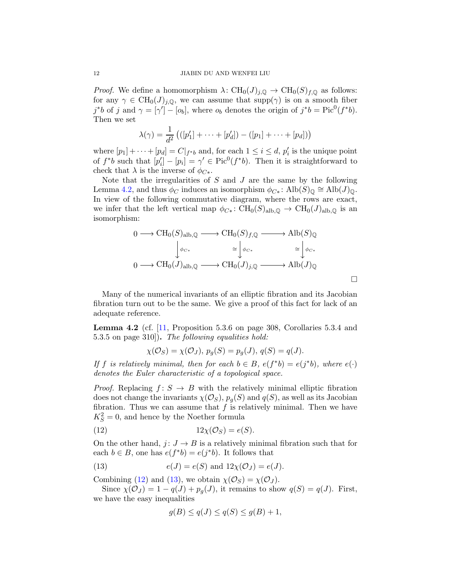*Proof.* We define a homomorphism  $\lambda: \text{CH}_0(J)_{i,\mathbb{Q}} \to \text{CH}_0(S)_{f,\mathbb{Q}}$  as follows: for any  $\gamma \in \text{CH}_0(J)_{j,\mathbb{Q}}$ , we can assume that  $\text{supp}(\gamma)$  is on a smooth fiber j\*b of j and  $\gamma = [\gamma'] - [o_b]$ , where  $o_b$  denotes the origin of  $j^*b = Pic^0(f^*b)$ . Then we set

$$
\lambda(\gamma) = \frac{1}{d^2} (([p'_1] + \cdots + [p'_d]) - ([p_1] + \cdots + [p_d]))
$$

where  $[p_1] + \cdots + [p_d] = C|_{f * b}$  and, for each  $1 \leq i \leq d$ ,  $p'_i$  $i<sub>i</sub>$  is the unique point of  $f^*b$  such that  $[p'_i]$  $\hat{a}_i^{\dagger} - [p_i] = \gamma' \in \text{Pic}^0(f^*b)$ . Then it is straightforward to check that  $\lambda$  is the inverse of  $\phi_{C^*}$ .

Note that the irregularities of  $S$  and  $J$  are the same by the following Lemma [4.2,](#page-11-0) and thus  $\phi_C$  induces an isomorphism  $\phi_{C^*}$ : Alb $(S)_{\mathbb{Q}} \cong \text{Alb}(J)_{\mathbb{Q}}$ . In view of the following commutative diagram, where the rows are exact, we infer that the left vertical map  $\phi_{C*}: \text{CH}_0(S)_{\text{alb},\mathbb{Q}} \to \text{CH}_0(J)_{\text{alb},\mathbb{Q}}$  is an isomorphism:

$$
0 \longrightarrow \text{CH}_0(S)_{\text{alb},\mathbb{Q}} \longrightarrow \text{CH}_0(S)_{f,\mathbb{Q}} \longrightarrow \text{Alb}(S)_{\mathbb{Q}}
$$

$$
\downarrow \phi_{C*} \cong \downarrow \phi_{C*} \cong \downarrow \phi_{C*}
$$

$$
0 \longrightarrow \text{CH}_0(J)_{\text{alb},\mathbb{Q}} \longrightarrow \text{CH}_0(J)_{j,\mathbb{Q}} \longrightarrow \text{Alb}(J)_{\mathbb{Q}}
$$

Many of the numerical invariants of an elliptic fibration and its Jacobian fibration turn out to be the same. We give a proof of this fact for lack of an adequate reference.

<span id="page-11-0"></span>**Lemma 4.2** (cf.  $\boxed{11}$ , Proposition 5.3.6 on page 308, Corollaries 5.3.4 and 5.3.5 on page 310]). *The following equalities hold:*

$$
\chi(\mathcal{O}_S) = \chi(\mathcal{O}_J), \ p_g(S) = p_g(J), \ q(S) = q(J).
$$

*If* f *is relatively minimal, then for each*  $b \in B$ *, e(f\*b)* =  $e(j^*b)$ *, where*  $e(\cdot)$ *denotes the Euler characteristic of a topological space.*

*Proof.* Replacing  $f: S \to B$  with the relatively minimal elliptic fibration does not change the invariants  $\chi(\mathcal{O}_S)$ ,  $p_q(S)$  and  $q(S)$ , as well as its Jacobian fibration. Thus we can assume that  $f$  is relatively minimal. Then we have  $K_S^2 = 0$ , and hence by the Noether formula

$$
(12) \t\t 12\chi(\mathcal{O}_S) = e(S).
$$

On the other hand,  $j: J \rightarrow B$  is a relatively minimal fibration such that for each  $b \in B$ , one has  $e(f^*b) = e(j^*b)$ . It follows that

(13) 
$$
e(J) = e(S) \text{ and } 12\chi(\mathcal{O}_J) = e(J).
$$

Combining [\(12\)](#page-11-1) and [\(13\)](#page-11-2), we obtain  $\chi(\mathcal{O}_S) = \chi(\mathcal{O}_J)$ .

Since  $\chi(\mathcal{O}_J) = 1 - q(J) + p_q(J)$ , it remains to show  $q(S) = q(J)$ . First, we have the easy inequalities

<span id="page-11-2"></span><span id="page-11-1"></span>
$$
g(B) \le q(J) \le q(S) \le g(B) + 1,
$$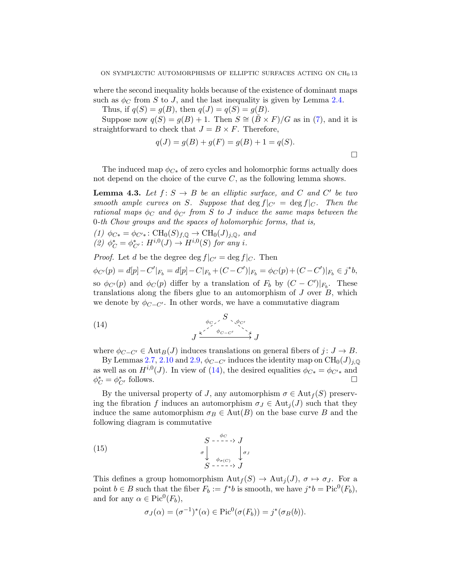where the second inequality holds because of the existence of dominant maps such as  $\phi_C$  from S to J, and the last inequality is given by Lemma [2.4.](#page-5-3)

Thus, if  $q(S) = g(B)$ , then  $q(J) = q(S) = g(B)$ .

Suppose now  $q(S) = q(B) + 1$ . Then  $S \cong (\tilde{B} \times F)/G$  as in [\(7\)](#page-6-2), and it is straightforward to check that  $J = B \times F$ . Therefore,

$$
q(J) = g(B) + g(F) = g(B) + 1 = q(S).
$$

 $\Box$ 

The induced map  $\phi_{C*}$  of zero cycles and holomorphic forms actually does not depend on the choice of the curve  $C$ , as the following lemma shows.

<span id="page-12-1"></span>**Lemma 4.3.** Let  $f: S \to B$  be an elliptic surface, and C and C' be two *smooth ample curves on* S. Suppose that  $\deg f|_{C'} = \deg f|_{C'}$ . Then the *rational maps*  $\phi_C$  *and*  $\phi_{C'}$  *from* S *to* J *induce the same maps between the* 0*-th Chow groups and the spaces of holomorphic forms, that is,*

*(1)*  $φ_{C*} = φ_{C'*}: CH_0(S)_{f,Q} → CH_0(J)_{j,Q}$ *, and*  $(2)$   $\phi_C^* = \phi_{C'}^* : H^{i,0}(J) \to H^{i,0}(S)$  *for any i.* 

*Proof.* Let d be the degree deg  $f|_{C'} = \deg f|_{C}$ . Then

 $\phi_{C'}(p) = d[p] - C'|_{F_b} = d[p] - C|_{F_b} + (C - C')|_{F_b} = \phi_C(p) + (C - C')|_{F_b} \in j^*b,$ so  $\phi_{C'}(p)$  and  $\phi_C(p)$  differ by a translation of  $F_b$  by  $(C - C')|_{F_b}$ . These translations along the fibers glue to an automorphism of  $J$  over  $B$ , which we denote by  $\phi_{C-C'}$ . In other words, we have a commutative diagram

<span id="page-12-0"></span>(14) 
$$
J \xrightarrow{\phi_{C} \nearrow S \searrow \phi_{C'}} J \xrightarrow{\phi_{C} \nearrow \searrow} J
$$

where  $\phi_{C-C'} \in \text{Aut}_B(J)$  induces translations on general fibers of  $j: J \to B$ .

By Lemmas [2.7,](#page-8-0) [2.10](#page-9-1) and [2.9,](#page-9-0)  $\phi_{C-C'}$  induces the identity map on  $\mathrm{CH}_0(J)_{i,\mathbb{Q}}$ as well as on  $H^{i,0}(J)$ . In view of [\(14\)](#page-12-0), the desired equalities  $\phi_{C*} = \phi_{C'*}$  and  $\phi_C^* = \phi_{C'}^*$  follows.

By the universal property of J, any automorphism  $\sigma \in \text{Aut}_f(S)$  preserving the fibration f induces an automorphism  $\sigma_J \in \text{Aut}_i(J)$  such that they induce the same automorphism  $\sigma_B \in \text{Aut}(B)$  on the base curve B and the following diagram is commutative

(15) 
$$
\begin{array}{c}\nS \xrightarrow{-} \xrightarrow{\phi_C} J \\
\sigma \downarrow \\
S \xrightarrow{-} \xrightarrow{\phi_{\sigma(C)}} J\n\end{array}
$$

This defines a group homomorphism  ${\rm Aut}_f(S) \to {\rm Aut}_i(J)$ ,  $\sigma \mapsto \sigma_J$ . For a point  $b \in B$  such that the fiber  $F_b := f^*b$  is smooth, we have  $j^*b = Pic^0(F_b)$ , and for any  $\alpha \in Pic^0(F_b)$ ,

<span id="page-12-2"></span>
$$
\sigma_J(\alpha) = (\sigma^{-1})^*(\alpha) \in \mathrm{Pic}^0(\sigma(F_b)) = j^*(\sigma_B(b)).
$$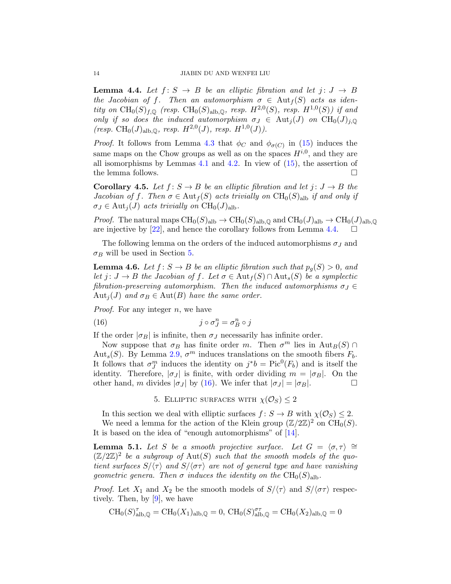<span id="page-13-0"></span>**Lemma 4.4.** Let  $f: S \rightarrow B$  be an elliptic fibration and let  $j: J \rightarrow B$ *the Jacobian of f.* Then an automorphism  $\sigma \in \text{Aut}_f(S)$  acts as iden*tity on*  $\text{CH}_0(S)_{f,\mathbb{Q}}$  (resp.  $\text{CH}_0(S)_{\text{alb},\mathbb{Q}}$ , resp.  $H^{2,0}(S)$ , resp.  $H^{1,0}(S)$ ) if and *only if so does the induced automorphism*  $\sigma_J \in Aut_i(J)$  *on*  $CH_0(J)_{i, \mathbb{Q}}$  $(resp. \ \text{CH}_0(J)_{\text{alb},\mathbb{Q}}$ *, resp.*  $H^{2,0}(J)$ *, resp.*  $H^{1,0}(J)$ *)*.

*Proof.* It follows from Lemma [4.3](#page-12-1) that  $\phi_C$  and  $\phi_{\sigma(C)}$  in [\(15\)](#page-12-2) induces the same maps on the Chow groups as well as on the spaces  $H^{i,0}$ , and they are all isomorphisms by Lemmas [4.1](#page-10-2) and [4.2.](#page-11-0) In view of [\(15\)](#page-12-2), the assertion of the lemma follows.  $\Box$ 

<span id="page-13-5"></span>**Corollary 4.5.** Let  $f: S \to B$  be an elliptic fibration and let  $j: J \to B$  the *Jacobian of* f. Then  $\sigma \in Aut_f(S)$  *acts trivially on*  $CH_0(S)_{\text{alb}}$  *if and only if*  $\sigma_J \in \text{Aut}_j(J)$  *acts trivially on*  $\text{CH}_0(J)_{\text{alb}}$ .

*Proof.* The natural maps  $\text{CH}_0(S)_{\text{alb}} \to \text{CH}_0(S)_{\text{alb},\mathbb{Q}}$  and  $\text{CH}_0(J)_{\text{alb}} \to \text{CH}_0(J)_{\text{alb},\mathbb{Q}}$ are injective by [\[22\]](#page-18-10), and hence the corollary follows from Lemma [4.4.](#page-13-0)

The following lemma on the orders of the induced automorphisms  $\sigma_J$  and  $\sigma_B$  will be used in Section [5.](#page-13-1)

<span id="page-13-4"></span>**Lemma 4.6.** Let  $f: S \to B$  be an elliptic fibration such that  $p_q(S) > 0$ , and *let*  $j: J \to B$  *the Jacobian of*  $f$ *. Let*  $\sigma \in \text{Aut}_f(S) \cap \text{Aut}_s(S)$  *be a symplectic fibration-preserving automorphism. Then the induced automorphisms*  $\sigma_J \in$  $Aut_i(J)$  *and*  $\sigma_B \in Aut(B)$  *have the same order.* 

*Proof.* For any integer n, we have

(16) 
$$
j \circ \sigma_J^n = \sigma_B^n \circ j
$$

If the order  $|\sigma_B|$  is infinite, then  $\sigma_J$  necessarily has infinite order.

Now suppose that  $\sigma_B$  has finite order m. Then  $\sigma^m$  lies in  $\text{Aut}_B(S) \cap$ Aut<sub>s</sub>(S). By Lemma [2.9,](#page-9-0)  $\sigma^m$  induces translations on the smooth fibers  $F_b$ . It follows that  $\sigma_{J}^{m}$  induces the identity on  $j^*b = Pic^{0}(F_b)$  and is itself the identity. Therefore,  $|\sigma_J|$  is finite, with order dividing  $m = |\sigma_B|$ . On the other hand, m divides  $|\sigma_J|$  by [\(16\)](#page-13-2). We infer that  $|\sigma_J| = |\sigma_B|$ .

<span id="page-13-2"></span>5. ELLIPTIC SURFACES WITH  $\chi(\mathcal{O}_S) \leq 2$ 

<span id="page-13-1"></span>In this section we deal with elliptic surfaces  $f: S \to B$  with  $\chi(\mathcal{O}_S) \leq 2$ . We need a lemma for the action of the Klein group  $(\mathbb{Z}/2\mathbb{Z})^2$  on  $\mathrm{CH}_0(S)$ . It is based on the idea of "enough automorphisms" of [\[14\]](#page-17-2).

<span id="page-13-3"></span>**Lemma 5.1.** *Let* S *be a smooth projective surface.* Let  $G = \langle \sigma, \tau \rangle \cong$  $(\mathbb{Z}/2\mathbb{Z})^2$  be a subgroup of  $\text{Aut}(S)$  such that the smooth models of the quo*tient surfaces*  $S/\langle \tau \rangle$  *and*  $S/\langle \sigma \tau \rangle$  *are not of general type and have vanishing geometric genera. Then*  $\sigma$  *induces the identity on the*  $CH_0(S)_{\text{alb}}$ .

*Proof.* Let  $X_1$  and  $X_2$  be the smooth models of  $S/\langle \tau \rangle$  and  $S/\langle \sigma \tau \rangle$  respectively. Then, by [\[9\]](#page-17-0), we have

$$
\operatorname{CH}_0(S)_{\mathrm{alb},\mathbb{Q}}^\tau=\operatorname{CH}_0(X_1)_{\mathrm{alb},\mathbb{Q}}=0,\ \operatorname{CH}_0(S)_{\mathrm{alb},\mathbb{Q}}^{\sigma\tau}=\operatorname{CH}_0(X_2)_{\mathrm{alb},\mathbb{Q}}=0
$$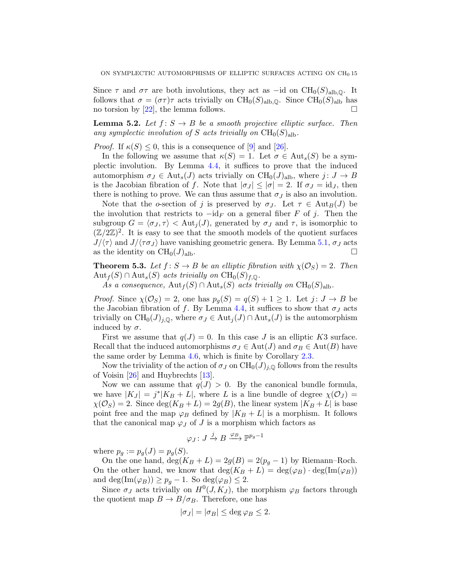Since  $\tau$  and  $\sigma\tau$  are both involutions, they act as –id on CH<sub>0</sub>(S)<sub>alb,</sub><sub>0</sub>. It follows that  $\sigma = (\sigma \tau) \tau$  acts trivially on CH<sub>0</sub>(S)<sub>alb,Q</sub>. Since CH<sub>0</sub>(S)<sub>alb</sub> has no torsion by [\[22\]](#page-18-10), the lemma follows.  $\square$ 

<span id="page-14-0"></span>**Lemma 5.2.** Let  $f: S \to B$  be a smooth projective elliptic surface. Then any symplectic involution of S acts trivially on  $CH_0(S)_{\text{alb}}$ .

*Proof.* If  $\kappa(S) \leq 0$ , this is a consequence of [\[9\]](#page-17-0) and [\[26\]](#page-18-5).

In the following we assume that  $\kappa(S) = 1$ . Let  $\sigma \in Aut_s(S)$  be a symplectic involution. By Lemma [4.4,](#page-13-0) it suffices to prove that the induced automorphism  $\sigma_J \in \text{Aut}_s(J)$  acts trivially on  $\text{CH}_0(J)_{\text{alb}}$ , where  $j: J \to B$ is the Jacobian fibration of f. Note that  $|\sigma_J| \leq |\sigma| = 2$ . If  $\sigma_J = id_J$ , then there is nothing to prove. We can thus assume that  $\sigma_J$  is also an involution.

Note that the o-section of j is preserved by  $\sigma_J$ . Let  $\tau \in \text{Aut}_B(J)$  be the involution that restricts to  $-i d_F$  on a general fiber F of j. Then the subgroup  $G = \langle \sigma_J , \tau \rangle < \text{Aut}_i(J)$ , generated by  $\sigma_J$  and  $\tau$ , is isomorphic to  $(\mathbb{Z}/2\mathbb{Z})^2$ . It is easy to see that the smooth models of the quotient surfaces  $J/\langle \tau \rangle$  and  $J/\langle \tau \sigma_J \rangle$  have vanishing geometric genera. By Lemma [5.1,](#page-13-3)  $\sigma_J$  acts as the identity on  $CH_0(J)_{\text{alb}}$ .

<span id="page-14-1"></span>**Theorem 5.3.** Let  $f: S \to B$  be an elliptic fibration with  $\chi(\mathcal{O}_S) = 2$ . Then  $Aut_f(S) \cap Aut_s(S)$  *acts trivially on*  $CH_0(S)_{f,\mathbb{Q}}$ .

As a consequence,  $\text{Aut}_f(S) \cap \text{Aut}_s(S)$  acts trivially on  $\text{CH}_0(S)_{\text{alb}}$ .

*Proof.* Since  $\chi(\mathcal{O}_S) = 2$ , one has  $p_g(S) = q(S) + 1 \geq 1$ . Let  $j: J \to B$  be the Jacobian fibration of f. By Lemma [4.4,](#page-13-0) it suffices to show that  $\sigma_J$  acts trivially on  $\text{CH}_0(J)_{j,\mathbb{Q}}$ , where  $\sigma_J \in \text{Aut}_j(J) \cap \text{Aut}_s(J)$  is the automorphism induced by  $\sigma$ .

First we assume that  $q(J) = 0$ . In this case J is an elliptic K3 surface. Recall that the induced automorphisms  $\sigma_J \in \text{Aut}(J)$  and  $\sigma_B \in \text{Aut}(B)$  have the same order by Lemma [4.6,](#page-13-4) which is finite by Corollary [2.3.](#page-5-2)

Now the triviality of the action of  $\sigma_J$  on  $\mathrm{CH}_0(J)_{j,\mathbb{Q}}$  follows from the results of Voisin [\[26\]](#page-18-5) and Huybrechts [\[13\]](#page-17-10).

Now we can assume that  $q(J) > 0$ . By the canonical bundle formula, we have  $|K_J| = j^*|K_B + L|$ , where L is a line bundle of degree  $\chi(\mathcal{O}_J) =$  $\chi(\mathcal{O}_S) = 2$ . Since  $\deg(K_B + L) = 2g(B)$ , the linear system  $|K_B + L|$  is base point free and the map  $\varphi_B$  defined by  $|K_B + L|$  is a morphism. It follows that the canonical map  $\varphi_J$  of J is a morphism which factors as

$$
\varphi_J\colon J\stackrel{j}{\to}B\stackrel{\varphi_B}{\longrightarrow} \mathbb{P}^{p_g-1}
$$

where  $p_g := p_g(J) = p_g(S)$ .

On the one hand,  $\deg(K_B + L) = 2g(B) = 2(p_g - 1)$  by Riemann–Roch. On the other hand, we know that  $\deg(K_B + L) = \deg(\varphi_B) \cdot \deg(\text{Im}(\varphi_B))$ and deg(Im( $\varphi_B$ )) ≥  $p_g - 1$ . So deg( $\varphi_B$ ) ≤ 2.

Since  $\sigma_J$  acts trivially on  $H^0(J, K_J)$ , the morphism  $\varphi_B$  factors through the quotient map  $B \to B/\sigma_B$ . Therefore, one has

$$
|\sigma_J| = |\sigma_B| \le \deg \varphi_B \le 2.
$$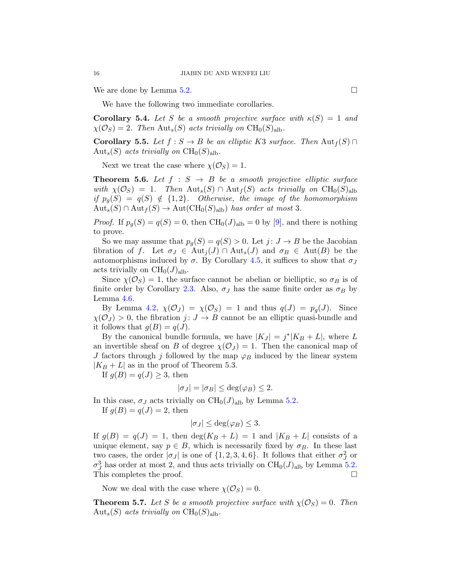We are done by Lemma [5.2.](#page-14-0)  $\Box$ 

We have the following two immediate corollaries.

**Corollary 5.4.** Let S be a smooth projective surface with  $\kappa(S) = 1$  and  $\chi(\mathcal{O}_S) = 2$ . Then  $\text{Aut}_s(S)$  acts trivially on  $\text{CH}_0(S)_{\text{alb}}$ .

<span id="page-15-0"></span>**Corollary 5.5.** *Let*  $f : S \to B$  *be an elliptic K3 surface. Then*  $\text{Aut}_f(S) \cap$  $Aut_s(S)$  *acts trivially on*  $CH_0(S)_{\text{alb}}$ .

Next we treat the case where  $\chi(\mathcal{O}_S) = 1$ .

<span id="page-15-2"></span>**Theorem 5.6.** Let  $f : S \rightarrow B$  be a smooth projective elliptic surface *with*  $\chi(\mathcal{O}_S) = 1$ . Then  $\text{Aut}_s(S) \cap \text{Aut}_f(S)$  *acts trivially on*  $\text{CH}_0(S)_{\text{alb}}$ *if*  $p_g(S) = q(S) \notin \{1,2\}$ *. Otherwise, the image of the homomorphism*  $Aut_s(S) \cap Aut_f(S) \to Aut(CH_0(S)_{\text{alb}})$  *has order at most* 3.

*Proof.* If  $p_g(S) = q(S) = 0$ , then  $CH_0(J)_{alb} = 0$  by [\[9\]](#page-17-0), and there is nothing to prove.

So we may assume that  $p_g(S) = q(S) > 0$ . Let  $j: J \to B$  be the Jacobian fibration of f. Let  $\sigma_J \in \text{Aut}_j(J) \cap \text{Aut}_s(J)$  and  $\sigma_B \in \text{Aut}(B)$  be the automorphisms induced by  $\sigma$ . By Corollary [4.5,](#page-13-5) it suffices to show that  $\sigma$ acts trivially on  $CH_0(J)_{\text{alb}}$ .

Since  $\chi(\mathcal{O}_S) = 1$ , the surface cannot be abelian or bielliptic, so  $\sigma_B$  is of finite order by Corollary [2.3.](#page-5-2) Also,  $\sigma_J$  has the same finite order as  $\sigma_B$  by Lemma [4.6.](#page-13-4)

By Lemma [4.2,](#page-11-0)  $\chi(\mathcal{O}_J) = \chi(\mathcal{O}_S) = 1$  and thus  $q(J) = p_q(J)$ . Since  $\chi(\mathcal{O}_J) > 0$ , the fibration  $j: J \to B$  cannot be an elliptic quasi-bundle and it follows that  $g(B) = g(J)$ .

By the canonical bundle formula, we have  $|K_J| = j^*|K_B + L|$ , where L an invertible sheaf on B of degree  $\chi(\mathcal{O}_J) = 1$ . Then the canonical map of J factors through j followed by the map  $\varphi_B$  induced by the linear system  $|K_B + L|$  as in the proof of Theorem 5.3.

If  $g(B) = q(J) \geq 3$ , then

$$
|\sigma_J| = |\sigma_B| \le \deg(\varphi_B) \le 2.
$$

In this case,  $\sigma_J$  acts trivially on  $\mathrm{CH}_0(J)_{\mathrm{alb}}$  by Lemma [5.2.](#page-14-0) If  $q(B) = q(J) = 2$ , then

$$
|\sigma_J| \le \deg(\varphi_B) \le 3.
$$

If  $g(B) = q(J) = 1$ , then  $deg(K_B + L) = 1$  and  $|K_B + L|$  consists of a unique element, say  $p \in B$ , which is necessarily fixed by  $\sigma_B$ . In these last two cases, the order  $|\sigma_J|$  is one of  $\{1, 2, 3, 4, 6\}$ . It follows that either  $\sigma_J^2$  or  $\sigma_J^3$  has order at most 2, and thus acts trivially on CH<sub>0</sub>(J)<sub>alb</sub> by Lemma [5.2.](#page-14-0) This completes the proof.

Now we deal with the case where  $\chi(\mathcal{O}_S) = 0$ .

<span id="page-15-1"></span>**Theorem 5.7.** Let S be a smooth projective surface with  $\chi(\mathcal{O}_S) = 0$ . Then  $Aut_s(S)$  *acts trivially on*  $CH_0(S)_{\text{alb}}$ .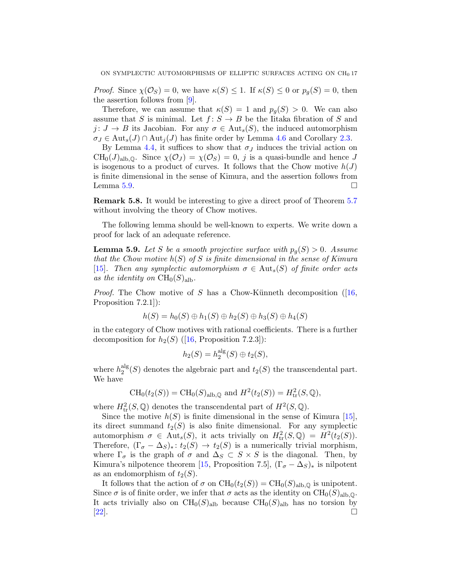*Proof.* Since  $\chi(\mathcal{O}_S) = 0$ , we have  $\kappa(S) \leq 1$ . If  $\kappa(S) \leq 0$  or  $p_q(S) = 0$ , then the assertion follows from [\[9\]](#page-17-0).

Therefore, we can assume that  $\kappa(S) = 1$  and  $p_q(S) > 0$ . We can also assume that S is minimal. Let  $f: S \to B$  be the Iitaka fibration of S and  $j: J \to B$  its Jacobian. For any  $\sigma \in \text{Aut}_{s}(S)$ , the induced automorphism  $\sigma_J \in \text{Aut}_s(J) \cap \text{Aut}_i(J)$  has finite order by Lemma [4.6](#page-13-4) and Corollary [2.3.](#page-5-2)

By Lemma [4.4,](#page-13-0) it suffices to show that  $\sigma_J$  induces the trivial action on  $CH_0(J)_{\text{alb},\mathbb{Q}}$ . Since  $\chi(\mathcal{O}_J) = \chi(\mathcal{O}_S) = 0$ , j is a quasi-bundle and hence J is isogenous to a product of curves. It follows that the Chow motive  $h(J)$ is finite dimensional in the sense of Kimura, and the assertion follows from Lemma [5.9.](#page-16-0)  $\Box$ 

Remark 5.8. It would be interesting to give a direct proof of Theorem [5.7](#page-15-1) without involving the theory of Chow motives.

The following lemma should be well-known to experts. We write down a proof for lack of an adequate reference.

<span id="page-16-0"></span>**Lemma 5.9.** Let S be a smooth projective surface with  $p_g(S) > 0$ . Assume *that the Chow motive* h(S) *of* S *is finite dimensional in the sense of Kimura* [\[15\]](#page-17-8). Then any symplectic automorphism  $\sigma \in Aut_s(S)$  of finite order acts as the identity on  $CH_0(S)_{\text{alb}}$ .

*Proof.*The Chow motive of S has a Chow-Künneth decomposition  $(16, 16)$ Proposition 7.2.1]):

$$
h(S) = h_0(S) \oplus h_1(S) \oplus h_2(S) \oplus h_3(S) \oplus h_4(S)
$$

in the category of Chow motives with rational coefficients. There is a further decompositionfor  $h_2(S)$  ([\[16,](#page-18-6) Proposition 7.2.3]):

$$
h_2(S) = h_2^{\text{alg}}(S) \oplus t_2(S),
$$

where  $h_2^{\text{alg}}$  $2^{alg}(S)$  denotes the algebraic part and  $t_2(S)$  the transcendental part. We have

$$
CH_0(t_2(S)) = CH_0(S)_{\text{alb},\mathbb{Q}} \text{ and } H^2(t_2(S)) = H^2_{\text{tr}}(S,\mathbb{Q}),
$$

where  $H^2_{\text{tr}}(S, \mathbb{Q})$  denotes the transcendental part of  $H^2(S, \mathbb{Q})$ .

Since the motive  $h(S)$  is finite dimensional in the sense of Kimura [\[15\]](#page-17-8), its direct summand  $t_2(S)$  is also finite dimensional. For any symplectic automorphism  $\sigma \in \text{Aut}_s(S)$ , it acts trivially on  $H^2_{\text{tr}}(S,\mathbb{Q}) = H^2(t_2(S)).$ Therefore,  $(\Gamma_{\sigma} - \Delta_S)_*: t_2(S) \to t_2(S)$  is a numerically trivial morphism, where  $\Gamma_{\sigma}$  is the graph of  $\sigma$  and  $\Delta_S \subset S \times S$  is the diagonal. Then, by Kimura's nilpotence theorem [\[15,](#page-17-8) Proposition 7.5],  $(\Gamma_{\sigma} - \Delta_S)_*$  is nilpotent as an endomorphism of  $t_2(S)$ .

It follows that the action of  $\sigma$  on  $\text{CH}_0(t_2(S)) = \text{CH}_0(S)_{\text{alb},\mathbb{Q}}$  is unipotent. Since  $\sigma$  is of finite order, we infer that  $\sigma$  acts as the identity on  $\mathrm{CH}_0(S)_{\mathrm{alb},\mathbb{Q}}$ . It acts trivially also on  $CH_0(S)_{\text{alb}}$  because  $CH_0(S)_{\text{alb}}$  has no torsion by  $[22]$ .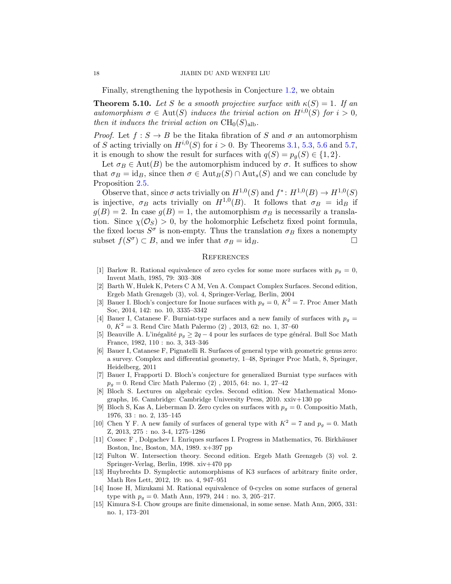Finally, strengthening the hypothesis in Conjecture [1.2,](#page-1-1) we obtain

**Theorem 5.10.** Let S be a smooth projective surface with  $\kappa(S) = 1$ . If an *automorphism*  $\sigma \in Aut(S)$  *induces the trivial action on*  $H^{i,0}(S)$  *for*  $i > 0$ *, then it induces the trivial action on*  $CH_0(S)_{aIb}$ .

*Proof.* Let  $f : S \to B$  be the Iitaka fibration of S and  $\sigma$  an automorphism of S acting trivially on  $H^{i,0}(S)$  for  $i > 0$ . By Theorems [3.1,](#page-10-1) [5.3,](#page-14-1) [5.6](#page-15-2) and [5.7,](#page-15-1) it is enough to show the result for surfaces with  $q(S) = p_q(S) \in \{1, 2\}.$ 

Let  $\sigma_B \in \text{Aut}(B)$  be the automorphism induced by  $\sigma$ . It suffices to show that  $\sigma_B = id_B$ , since then  $\sigma \in \text{Aut}_B(S) \cap \text{Aut}_s(S)$  and we can conclude by Proposition [2.5.](#page-6-1)

Observe that, since  $\sigma$  acts trivially on  $H^{1,0}(S)$  and  $f^*: H^{1,0}(B) \to H^{1,0}(S)$ is injective,  $\sigma_B$  acts trivially on  $H^{1,0}(B)$ . It follows that  $\sigma_B = id_B$  if  $g(B) = 2$ . In case  $g(B) = 1$ , the automorphism  $\sigma_B$  is necessarily a translation. Since  $\chi(\mathcal{O}_S) > 0$ , by the holomorphic Lefschetz fixed point formula, the fixed locus  $S^{\sigma}$  is non-empty. Thus the translation  $\sigma_B$  fixes a nonempty subset  $f(S^{\sigma}) \subset B$ , and we infer that  $\sigma_B = id_B$ .

### **REFERENCES**

- <span id="page-17-3"></span>[1] Barlow R. Rational equivalence of zero cycles for some more surfaces with  $p_q = 0$ , Invent Math, 1985, 79: 303–308
- <span id="page-17-11"></span>[2] Barth W, Hulek K, Peters C A M, Ven A. Compact Complex Surfaces. Second edition, Ergeb Math Grenzgeb (3), vol. 4, Springer-Verlag, Berlin, 2004
- <span id="page-17-6"></span>[3] Bauer I. Bloch's conjecture for Inoue surfaces with  $p_g = 0$ ,  $K^2 = 7$ . Proc Amer Math Soc, 2014, 142: no. 10, 3335–3342
- <span id="page-17-5"></span>[4] Bauer I, Catanese F. Burniat-type surfaces and a new family of surfaces with  $p<sub>g</sub>$  = 0,  $K^2 = 3$ . Rend Circ Math Palermo  $(2)$ , 2013, 62: no. 1, 37–60
- <span id="page-17-12"></span>[5] Beauville A. L'inégalité  $p_q \geq 2q - 4$  pour les surfaces de type général. Bull Soc Math France, 1982, 110 : no. 3, 343–346
- <span id="page-17-9"></span>[6] Bauer I, Catanese F, Pignatelli R. Surfaces of general type with geometric genus zero: a survey. Complex and differential geometry, 1–48, Springer Proc Math, 8, Springer, Heidelberg, 2011
- <span id="page-17-7"></span>[7] Bauer I, Frapporti D. Bloch's conjecture for generalized Burniat type surfaces with  $p_q = 0$ . Rend Circ Math Palermo (2), 2015, 64: no. 1, 27–42
- <span id="page-17-1"></span>[8] Bloch S. Lectures on algebraic cycles. Second edition. New Mathematical Monographs, 16. Cambridge: Cambridge University Press, 2010. xxiv+130 pp
- <span id="page-17-0"></span>[9] Bloch S, Kas A, Lieberman D. Zero cycles on surfaces with  $p<sub>g</sub> = 0$ . Compositio Math, 1976, 33 : no. 2, 135–145
- <span id="page-17-4"></span>[10] Chen Y F. A new family of surfaces of general type with  $K^2 = 7$  and  $p_g = 0$ . Math Z, 2013, 275 : no. 3-4, 1275–1286
- <span id="page-17-13"></span>[11] Cossec F , Dolgachev I. Enriques surfaces I. Progress in Mathematics, 76. Birkh¨auser Boston, Inc, Boston, MA, 1989. x+397 pp
- [12] Fulton W. Intersection theory. Second edition. Ergeb Math Grenzgeb (3) vol. 2. Springer-Verlag, Berlin, 1998. xiv+470 pp
- <span id="page-17-10"></span>[13] Huybrechts D. Symplectic automorphisms of K3 surfaces of arbitrary finite order, Math Res Lett, 2012, 19: no. 4, 947–951
- <span id="page-17-2"></span>[14] Inose H, Mizukami M. Rational equivalence of 0-cycles on some surfaces of general type with  $p_q = 0$ . Math Ann, 1979, 244 : no. 3, 205–217.
- <span id="page-17-8"></span>[15] Kimura S-I. Chow groups are finite dimensional, in some sense. Math Ann, 2005, 331: no. 1, 173–201